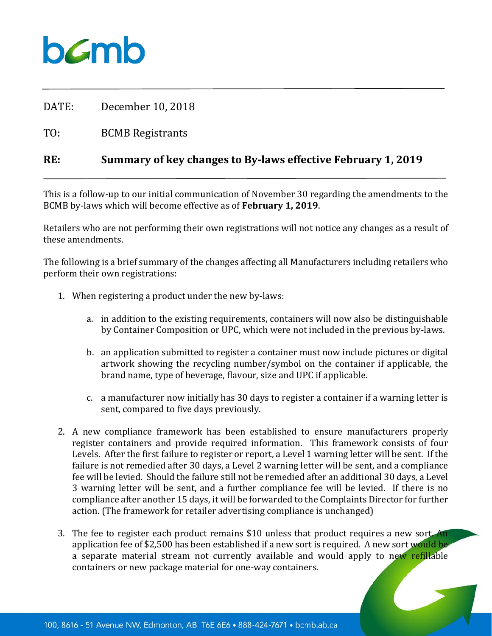## $b$ *C*mb

DATE: December 10, 2018

TO: BCMB Registrants

## **RE: Summary of key changes to By-laws effective February 1, 2019**

This is a follow-up to our initial communication of November 30 regarding the amendments to the BCMB by-laws which will become effective as of **February 1, 2019**.

Retailers who are not performing their own registrations will not notice any changes as a result of these amendments.

The following is a brief summary of the changes affecting all Manufacturers including retailers who perform their own registrations:

- 1. When registering a product under the new by-laws:
	- a. in addition to the existing requirements, containers will now also be distinguishable by Container Composition or UPC, which were not included in the previous by-laws.
	- b. an application submitted to register a container must now include pictures or digital artwork showing the recycling number/symbol on the container if applicable, the brand name, type of beverage, flavour, size and UPC if applicable.
	- c. a manufacturer now initially has 30 days to register a container if a warning letter is sent, compared to five days previously.
- 2. A new compliance framework has been established to ensure manufacturers properly register containers and provide required information. This framework consists of four Levels. After the first failure to register or report, a Level 1 warning letter will be sent. If the failure is not remedied after 30 days, a Level 2 warning letter will be sent, and a compliance fee will be levied. Should the failure still not be remedied after an additional 30 days, a Level 3 warning letter will be sent, and a further compliance fee will be levied. If there is no compliance after another 15 days, it will be forwarded to the Complaints Director for further action. (The framework for retailer advertising compliance is unchanged)
- 3. The fee to register each product remains \$10 unless that product requires a new sort. An application fee of \$2,500 has been established if a new sort is required. A new sort would be a separate material stream not currently available and would apply to new refillable containers or new package material for one-way containers.